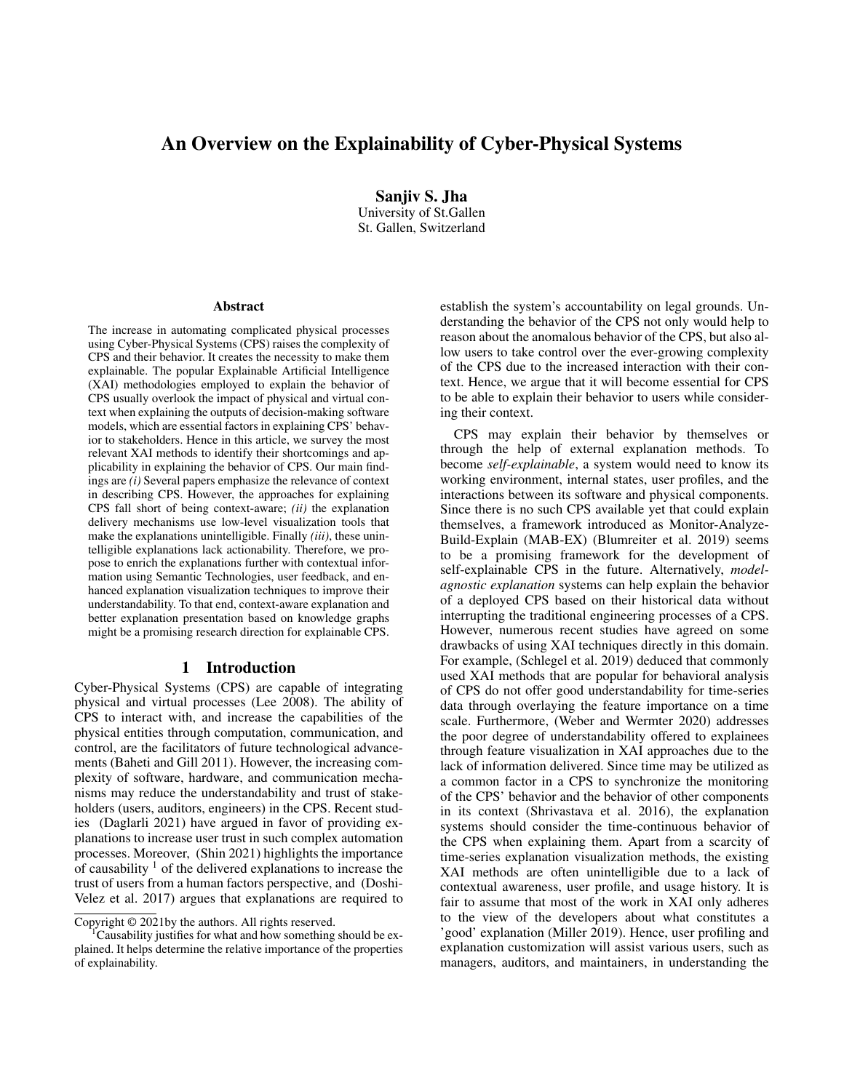# An Overview on the Explainability of Cyber-Physical Systems

Sanjiv S. Jha University of St.Gallen St. Gallen, Switzerland

#### Abstract

The increase in automating complicated physical processes using Cyber-Physical Systems (CPS) raises the complexity of CPS and their behavior. It creates the necessity to make them explainable. The popular Explainable Artificial Intelligence (XAI) methodologies employed to explain the behavior of CPS usually overlook the impact of physical and virtual context when explaining the outputs of decision-making software models, which are essential factors in explaining CPS' behavior to stakeholders. Hence in this article, we survey the most relevant XAI methods to identify their shortcomings and applicability in explaining the behavior of CPS. Our main findings are *(i)* Several papers emphasize the relevance of context in describing CPS. However, the approaches for explaining CPS fall short of being context-aware; *(ii)* the explanation delivery mechanisms use low-level visualization tools that make the explanations unintelligible. Finally *(iii)*, these unintelligible explanations lack actionability. Therefore, we propose to enrich the explanations further with contextual information using Semantic Technologies, user feedback, and enhanced explanation visualization techniques to improve their understandability. To that end, context-aware explanation and better explanation presentation based on knowledge graphs might be a promising research direction for explainable CPS.

#### 1 Introduction

Cyber-Physical Systems (CPS) are capable of integrating physical and virtual processes (Lee 2008). The ability of CPS to interact with, and increase the capabilities of the physical entities through computation, communication, and control, are the facilitators of future technological advancements (Baheti and Gill 2011). However, the increasing complexity of software, hardware, and communication mechanisms may reduce the understandability and trust of stakeholders (users, auditors, engineers) in the CPS. Recent studies (Daglarli 2021) have argued in favor of providing explanations to increase user trust in such complex automation processes. Moreover, (Shin 2021) highlights the importance of causability  $\frac{1}{1}$  of the delivered explanations to increase the trust of users from a human factors perspective, and (Doshi-Velez et al. 2017) argues that explanations are required to establish the system's accountability on legal grounds. Understanding the behavior of the CPS not only would help to reason about the anomalous behavior of the CPS, but also allow users to take control over the ever-growing complexity of the CPS due to the increased interaction with their context. Hence, we argue that it will become essential for CPS to be able to explain their behavior to users while considering their context.

CPS may explain their behavior by themselves or through the help of external explanation methods. To become *self-explainable*, a system would need to know its working environment, internal states, user profiles, and the interactions between its software and physical components. Since there is no such CPS available yet that could explain themselves, a framework introduced as Monitor-Analyze-Build-Explain (MAB-EX) (Blumreiter et al. 2019) seems to be a promising framework for the development of self-explainable CPS in the future. Alternatively, *modelagnostic explanation* systems can help explain the behavior of a deployed CPS based on their historical data without interrupting the traditional engineering processes of a CPS. However, numerous recent studies have agreed on some drawbacks of using XAI techniques directly in this domain. For example, (Schlegel et al. 2019) deduced that commonly used XAI methods that are popular for behavioral analysis of CPS do not offer good understandability for time-series data through overlaying the feature importance on a time scale. Furthermore, (Weber and Wermter 2020) addresses the poor degree of understandability offered to explainees through feature visualization in XAI approaches due to the lack of information delivered. Since time may be utilized as a common factor in a CPS to synchronize the monitoring of the CPS' behavior and the behavior of other components in its context (Shrivastava et al. 2016), the explanation systems should consider the time-continuous behavior of the CPS when explaining them. Apart from a scarcity of time-series explanation visualization methods, the existing XAI methods are often unintelligible due to a lack of contextual awareness, user profile, and usage history. It is fair to assume that most of the work in XAI only adheres to the view of the developers about what constitutes a 'good' explanation (Miller 2019). Hence, user profiling and explanation customization will assist various users, such as managers, auditors, and maintainers, in understanding the

Copyright © 2021by the authors. All rights reserved.

<sup>&</sup>lt;sup>1</sup>Causability justifies for what and how something should be explained. It helps determine the relative importance of the properties of explainability.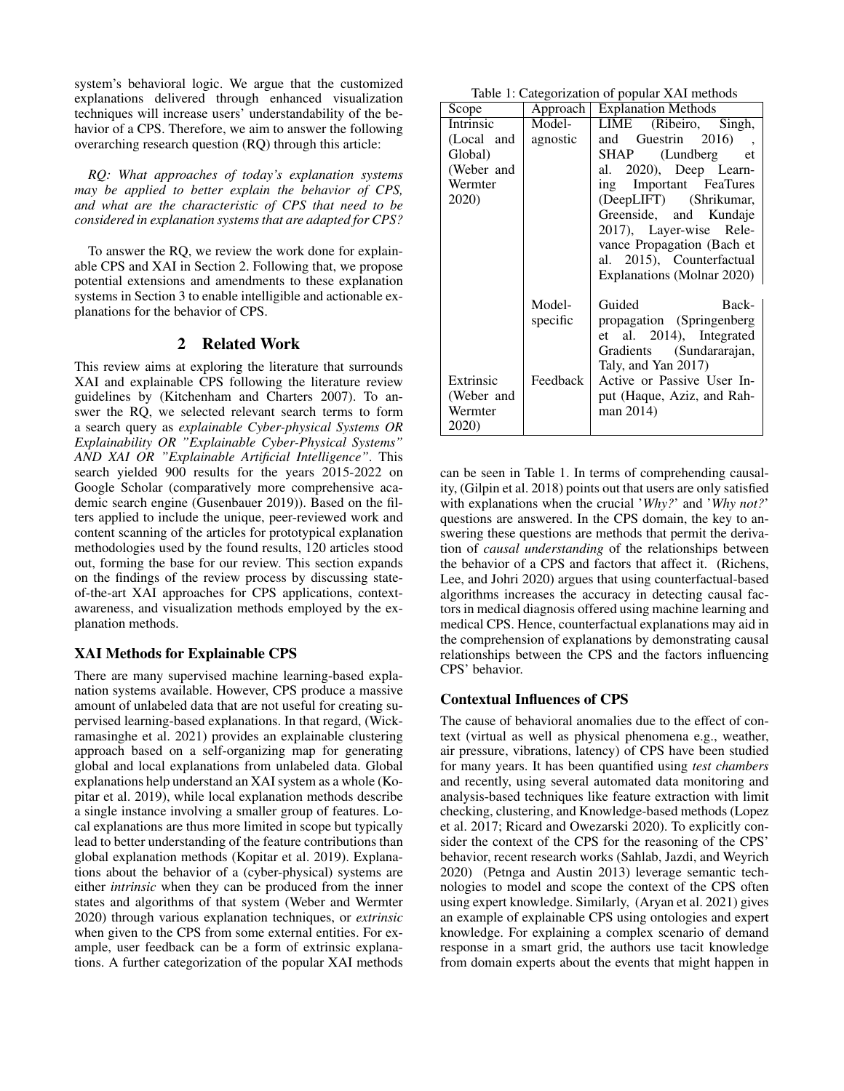system's behavioral logic. We argue that the customized explanations delivered through enhanced visualization techniques will increase users' understandability of the behavior of a CPS. Therefore, we aim to answer the following overarching research question (RQ) through this article:

*RQ: What approaches of today's explanation systems may be applied to better explain the behavior of CPS, and what are the characteristic of CPS that need to be considered in explanation systems that are adapted for CPS?*

To answer the RQ, we review the work done for explainable CPS and XAI in Section 2. Following that, we propose potential extensions and amendments to these explanation systems in Section 3 to enable intelligible and actionable explanations for the behavior of CPS.

# 2 Related Work

This review aims at exploring the literature that surrounds XAI and explainable CPS following the literature review guidelines by (Kitchenham and Charters 2007). To answer the RQ, we selected relevant search terms to form a search query as *explainable Cyber-physical Systems OR Explainability OR "Explainable Cyber-Physical Systems" AND XAI OR "Explainable Artificial Intelligence"*. This search yielded 900 results for the years 2015-2022 on Google Scholar (comparatively more comprehensive academic search engine (Gusenbauer 2019)). Based on the filters applied to include the unique, peer-reviewed work and content scanning of the articles for prototypical explanation methodologies used by the found results, 120 articles stood out, forming the base for our review. This section expands on the findings of the review process by discussing stateof-the-art XAI approaches for CPS applications, contextawareness, and visualization methods employed by the explanation methods.

#### XAI Methods for Explainable CPS

There are many supervised machine learning-based explanation systems available. However, CPS produce a massive amount of unlabeled data that are not useful for creating supervised learning-based explanations. In that regard, (Wickramasinghe et al. 2021) provides an explainable clustering approach based on a self-organizing map for generating global and local explanations from unlabeled data. Global explanations help understand an XAI system as a whole (Kopitar et al. 2019), while local explanation methods describe a single instance involving a smaller group of features. Local explanations are thus more limited in scope but typically lead to better understanding of the feature contributions than global explanation methods (Kopitar et al. 2019). Explanations about the behavior of a (cyber-physical) systems are either *intrinsic* when they can be produced from the inner states and algorithms of that system (Weber and Wermter 2020) through various explanation techniques, or *extrinsic* when given to the CPS from some external entities. For example, user feedback can be a form of extrinsic explanations. A further categorization of the popular XAI methods

|  | Table 1: Categorization of popular XAI methods |  |  |  |
|--|------------------------------------------------|--|--|--|
|--|------------------------------------------------|--|--|--|

| alogonzation of popular <i>in</i> internetto |          |                                |  |  |
|----------------------------------------------|----------|--------------------------------|--|--|
| Scope                                        |          | Approach   Explanation Methods |  |  |
| <b>Intrinsic</b>                             | Model-   | LIME (Ribeiro, Singh,          |  |  |
| (Local and                                   | agnostic | and Guestrin 2016),            |  |  |
| Global)                                      |          | SHAP (Lundberg et              |  |  |
| (Weber and                                   |          | al. 2020), Deep Learn-         |  |  |
| Wermter                                      |          | ing Important FeaTures         |  |  |
| 2020)                                        |          | (DeepLIFT) (Shrikumar,         |  |  |
|                                              |          | Greenside, and Kundaje         |  |  |
|                                              |          | 2017), Layer-wise Rele-        |  |  |
|                                              |          | vance Propagation (Bach et     |  |  |
|                                              |          | al. 2015), Counterfactual      |  |  |
|                                              |          | Explanations (Molnar 2020)     |  |  |
|                                              | Model-   | Guided<br>Back-                |  |  |
|                                              |          |                                |  |  |
|                                              | specific | propagation (Springenberg)     |  |  |
|                                              |          | et al. 2014), Integrated       |  |  |
|                                              |          | Gradients (Sundararajan,       |  |  |
|                                              |          | Taly, and Yan 2017)            |  |  |
| Extrinsic                                    | Feedback | Active or Passive User In-     |  |  |
| (Weber and                                   |          | put (Haque, Aziz, and Rah-     |  |  |
| Wermter                                      |          | man 2014)                      |  |  |
| <b>2020</b> )                                |          |                                |  |  |

can be seen in Table 1. In terms of comprehending causality, (Gilpin et al. 2018) points out that users are only satisfied with explanations when the crucial '*Why?*' and '*Why not?*' questions are answered. In the CPS domain, the key to answering these questions are methods that permit the derivation of *causal understanding* of the relationships between the behavior of a CPS and factors that affect it. (Richens, Lee, and Johri 2020) argues that using counterfactual-based algorithms increases the accuracy in detecting causal factors in medical diagnosis offered using machine learning and medical CPS. Hence, counterfactual explanations may aid in the comprehension of explanations by demonstrating causal relationships between the CPS and the factors influencing CPS' behavior.

#### Contextual Influences of CPS

The cause of behavioral anomalies due to the effect of context (virtual as well as physical phenomena e.g., weather, air pressure, vibrations, latency) of CPS have been studied for many years. It has been quantified using *test chambers* and recently, using several automated data monitoring and analysis-based techniques like feature extraction with limit checking, clustering, and Knowledge-based methods (Lopez et al. 2017; Ricard and Owezarski 2020). To explicitly consider the context of the CPS for the reasoning of the CPS' behavior, recent research works (Sahlab, Jazdi, and Weyrich 2020) (Petnga and Austin 2013) leverage semantic technologies to model and scope the context of the CPS often using expert knowledge. Similarly, (Aryan et al. 2021) gives an example of explainable CPS using ontologies and expert knowledge. For explaining a complex scenario of demand response in a smart grid, the authors use tacit knowledge from domain experts about the events that might happen in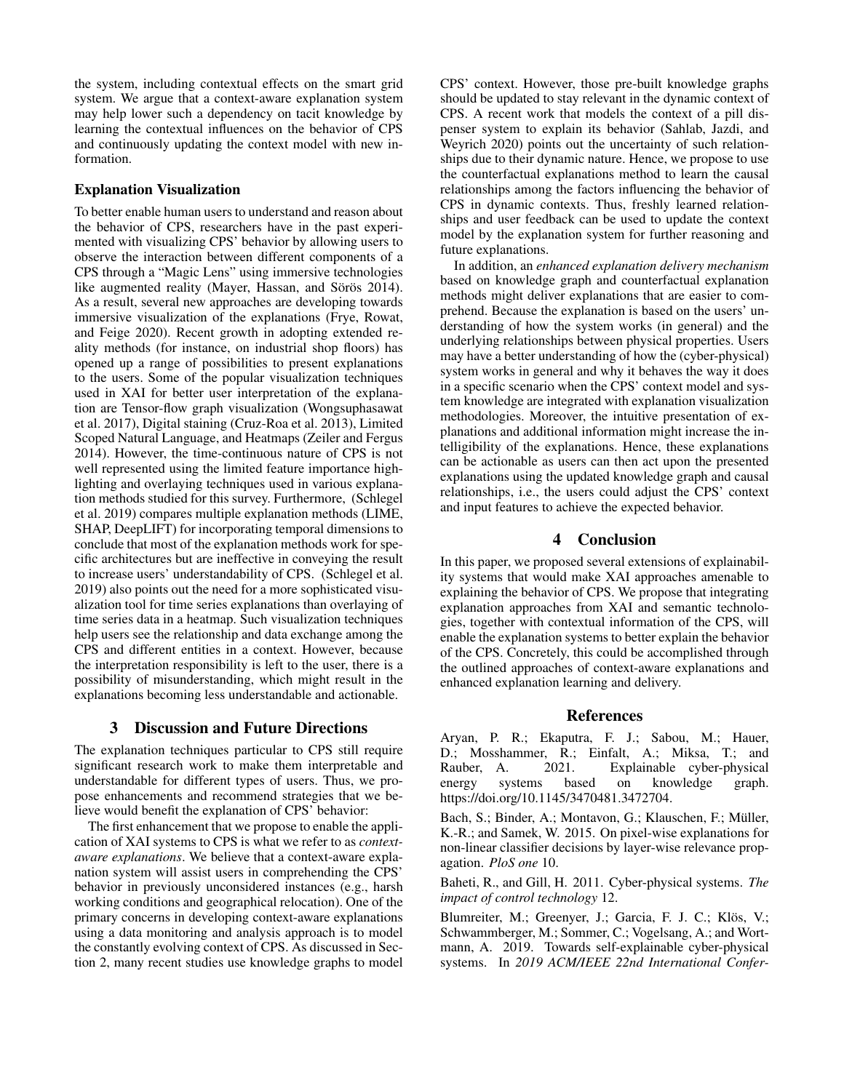the system, including contextual effects on the smart grid system. We argue that a context-aware explanation system may help lower such a dependency on tacit knowledge by learning the contextual influences on the behavior of CPS and continuously updating the context model with new information.

### Explanation Visualization

To better enable human users to understand and reason about the behavior of CPS, researchers have in the past experimented with visualizing CPS' behavior by allowing users to observe the interaction between different components of a CPS through a "Magic Lens" using immersive technologies like augmented reality (Mayer, Hassan, and Sörös 2014). As a result, several new approaches are developing towards immersive visualization of the explanations (Frye, Rowat, and Feige 2020). Recent growth in adopting extended reality methods (for instance, on industrial shop floors) has opened up a range of possibilities to present explanations to the users. Some of the popular visualization techniques used in XAI for better user interpretation of the explanation are Tensor-flow graph visualization (Wongsuphasawat et al. 2017), Digital staining (Cruz-Roa et al. 2013), Limited Scoped Natural Language, and Heatmaps (Zeiler and Fergus 2014). However, the time-continuous nature of CPS is not well represented using the limited feature importance highlighting and overlaying techniques used in various explanation methods studied for this survey. Furthermore, (Schlegel et al. 2019) compares multiple explanation methods (LIME, SHAP, DeepLIFT) for incorporating temporal dimensions to conclude that most of the explanation methods work for specific architectures but are ineffective in conveying the result to increase users' understandability of CPS. (Schlegel et al. 2019) also points out the need for a more sophisticated visualization tool for time series explanations than overlaying of time series data in a heatmap. Such visualization techniques help users see the relationship and data exchange among the CPS and different entities in a context. However, because the interpretation responsibility is left to the user, there is a possibility of misunderstanding, which might result in the explanations becoming less understandable and actionable.

# 3 Discussion and Future Directions

The explanation techniques particular to CPS still require significant research work to make them interpretable and understandable for different types of users. Thus, we propose enhancements and recommend strategies that we believe would benefit the explanation of CPS' behavior:

The first enhancement that we propose to enable the application of XAI systems to CPS is what we refer to as *contextaware explanations*. We believe that a context-aware explanation system will assist users in comprehending the CPS' behavior in previously unconsidered instances (e.g., harsh working conditions and geographical relocation). One of the primary concerns in developing context-aware explanations using a data monitoring and analysis approach is to model the constantly evolving context of CPS. As discussed in Section 2, many recent studies use knowledge graphs to model CPS' context. However, those pre-built knowledge graphs should be updated to stay relevant in the dynamic context of CPS. A recent work that models the context of a pill dispenser system to explain its behavior (Sahlab, Jazdi, and Weyrich 2020) points out the uncertainty of such relationships due to their dynamic nature. Hence, we propose to use the counterfactual explanations method to learn the causal relationships among the factors influencing the behavior of CPS in dynamic contexts. Thus, freshly learned relationships and user feedback can be used to update the context model by the explanation system for further reasoning and future explanations.

In addition, an *enhanced explanation delivery mechanism* based on knowledge graph and counterfactual explanation methods might deliver explanations that are easier to comprehend. Because the explanation is based on the users' understanding of how the system works (in general) and the underlying relationships between physical properties. Users may have a better understanding of how the (cyber-physical) system works in general and why it behaves the way it does in a specific scenario when the CPS' context model and system knowledge are integrated with explanation visualization methodologies. Moreover, the intuitive presentation of explanations and additional information might increase the intelligibility of the explanations. Hence, these explanations can be actionable as users can then act upon the presented explanations using the updated knowledge graph and causal relationships, i.e., the users could adjust the CPS' context and input features to achieve the expected behavior.

# 4 Conclusion

In this paper, we proposed several extensions of explainability systems that would make XAI approaches amenable to explaining the behavior of CPS. We propose that integrating explanation approaches from XAI and semantic technologies, together with contextual information of the CPS, will enable the explanation systems to better explain the behavior of the CPS. Concretely, this could be accomplished through the outlined approaches of context-aware explanations and enhanced explanation learning and delivery.

#### References

Aryan, P. R.; Ekaputra, F. J.; Sabou, M.; Hauer, D.; Mosshammer, R.; Einfalt, A.; Miksa, T.; and Rauber, A. 2021. Explainable cyber-physical energy systems based on knowledge graph. https://doi.org/10.1145/3470481.3472704.

Bach, S.; Binder, A.; Montavon, G.; Klauschen, F.; Müller, K.-R.; and Samek, W. 2015. On pixel-wise explanations for non-linear classifier decisions by layer-wise relevance propagation. *PloS one* 10.

Baheti, R., and Gill, H. 2011. Cyber-physical systems. *The impact of control technology* 12.

Blumreiter, M.; Greenyer, J.; Garcia, F. J. C.; Klös, V.; Schwammberger, M.; Sommer, C.; Vogelsang, A.; and Wortmann, A. 2019. Towards self-explainable cyber-physical systems. In *2019 ACM/IEEE 22nd International Confer-*